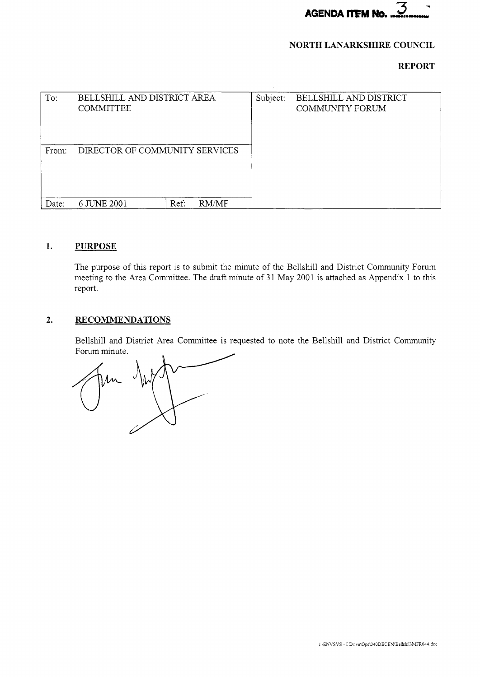

# **NORTH LANARKSHIRE COUNCIL**

# **REPORT**

| To:   | BELLSHILL AND DISTRICT AREA<br><b>COMMITTEE</b> |      |       | Subject: | BELLSHILL AND DISTRICT<br><b>COMMUNITY FORUM</b> |
|-------|-------------------------------------------------|------|-------|----------|--------------------------------------------------|
| From: | DIRECTOR OF COMMUNITY SERVICES                  |      |       |          |                                                  |
| Date: | 6 JUNE 2001                                     | Ref: | RM/MF |          |                                                  |

# **1. PURPOSE**

The purpose of this report is to submit the minute of the Bellshill and District Community Forum meeting to the Area Committee. The draft minute of 31 May 2001 is attached as Appendix 1 to this report.

# **2. RECOMMENDATIONS**

Bellshill and District Area Committee is requested to note the Bellshill and District Community Forum minute.

N.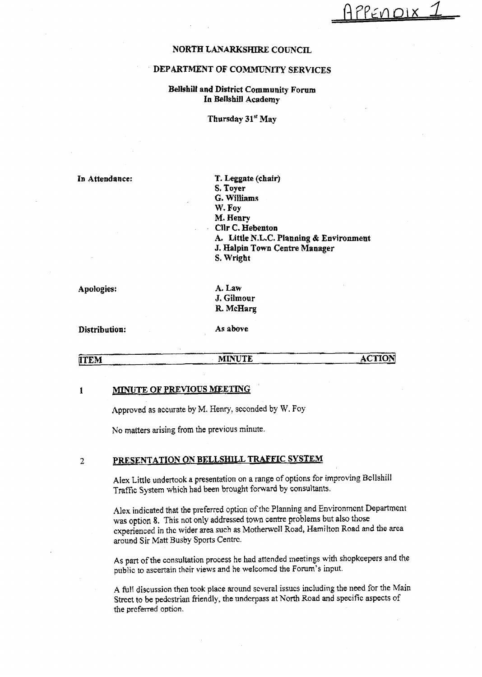PPENDIX

#### **NORTH LANARKSHIRE COITNCIL**

#### **DEPARTMENT OF COMMUNITY SERVICES**

## **Bellshill and District Community Forum In Beilshill Academy**

**Thursday 31" May** 

**In Attendance:** 

**T. Leggate (chair) S. Toyer**  *G.* **Willlams W. Foy M. Henry Cllr** *C.* **Hebenton A. Little N.L.C. Planning** & **Environment J. Halpin Town Centre Manager S, Wright** 

**Apologies:** 

**A. Law J. Gilmour R McHarg** 

**Distribution: As above** 

### **KITEM MINUTE ACTION**

#### 1 **MINUTE OF PREVIOUS MEETING**

**Approved as** accurate by M. Henry, seconded by **W.** Foy

No **matters** arising from the previous minute.

# **2** PRESENTATION ON BELLSHILL TRAFFIC SYSTEM

**Alex** Little undertook **a** presentation on **a** range of options for improving Bellshiil Traffic System which **had** been brought forward **by** consultants.

*hlsx* **indicated** that the **preferred** option of thc Planning **and** Environroenl **Department**  was optjon **8.** This not only addressed town **centre** problems but **also those**  cxperienced **in** thc wider area such as Motherwcll Road, Hamilton Road **and the** area **around** Sir Matt Busby **Sports** Centrc.

**As part** of the consultation process he had **attended** meetings **with** shopkcepers and the public to ascertain their **views and** he welcomcd *the* **Forum's** input.

**A full discussion** thcn **took place** around scveral **issues** including the **need** for **the Main**  Strcct *to* **be pedcstrian** friendly, the undcrpass at North Road **and** specific aspects of the preferred option.